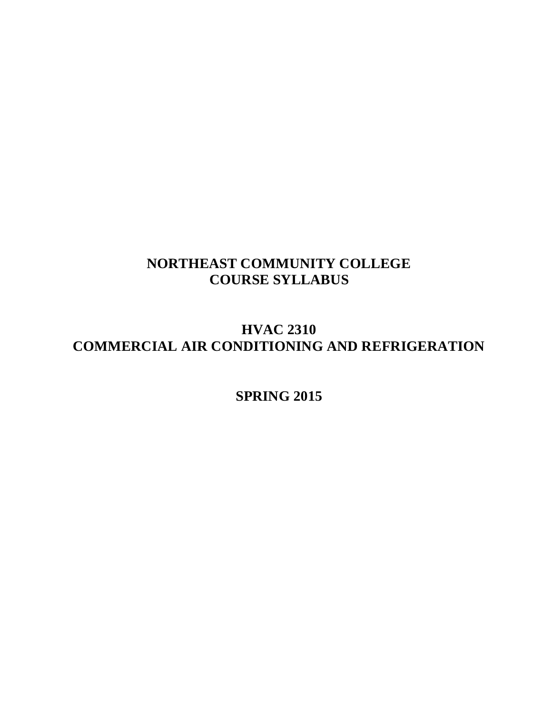# **NORTHEAST COMMUNITY COLLEGE COURSE SYLLABUS**

# **HVAC 2310 COMMERCIAL AIR CONDITIONING AND REFRIGERATION**

# **SPRING 2015**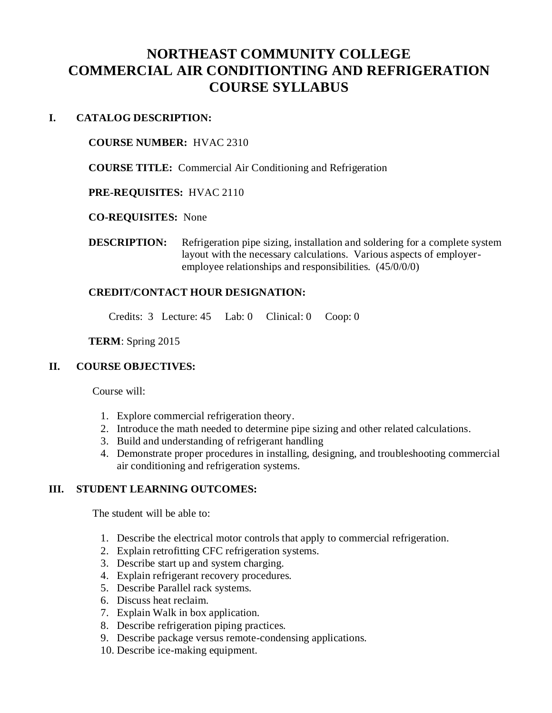# **NORTHEAST COMMUNITY COLLEGE COMMERCIAL AIR CONDITIONTING AND REFRIGERATION COURSE SYLLABUS**

# **I. CATALOG DESCRIPTION:**

## **COURSE NUMBER:** HVAC 2310

**COURSE TITLE:** Commercial Air Conditioning and Refrigeration

**PRE-REQUISITES:** HVAC 2110

## **CO-REQUISITES:** None

**DESCRIPTION:** Refrigeration pipe sizing, installation and soldering for a complete system layout with the necessary calculations. Various aspects of employeremployee relationships and responsibilities. (45/0/0/0)

# **CREDIT/CONTACT HOUR DESIGNATION:**

Credits: 3 Lecture: 45 Lab: 0 Clinical: 0 Coop: 0

**TERM**: Spring 2015

# **II. COURSE OBJECTIVES:**

Course will:

- 1. Explore commercial refrigeration theory.
- 2. Introduce the math needed to determine pipe sizing and other related calculations.
- 3. Build and understanding of refrigerant handling
- 4. Demonstrate proper procedures in installing, designing, and troubleshooting commercial air conditioning and refrigeration systems.

# **III. STUDENT LEARNING OUTCOMES:**

The student will be able to:

- 1. Describe the electrical motor controls that apply to commercial refrigeration.
- 2. Explain retrofitting CFC refrigeration systems.
- 3. Describe start up and system charging.
- 4. Explain refrigerant recovery procedures.
- 5. Describe Parallel rack systems.
- 6. Discuss heat reclaim.
- 7. Explain Walk in box application.
- 8. Describe refrigeration piping practices.
- 9. Describe package versus remote-condensing applications.
- 10. Describe ice-making equipment.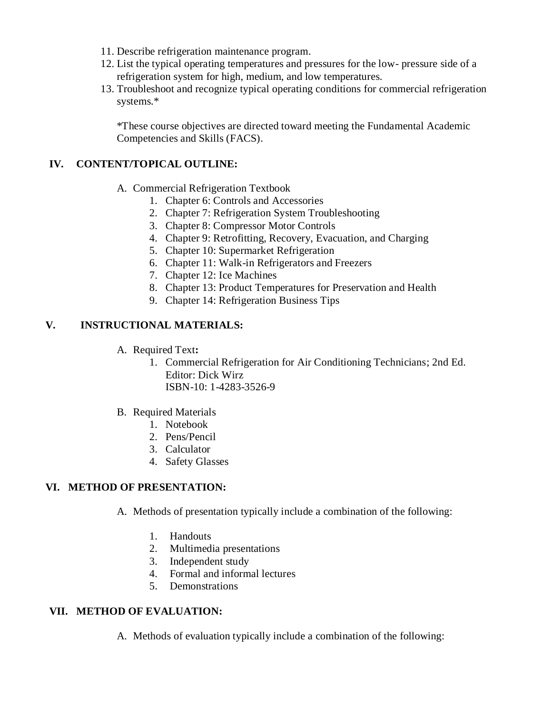- 11. Describe refrigeration maintenance program.
- 12. List the typical operating temperatures and pressures for the low- pressure side of a refrigeration system for high, medium, and low temperatures.
- 13. Troubleshoot and recognize typical operating conditions for commercial refrigeration systems.\*

\*These course objectives are directed toward meeting the Fundamental Academic Competencies and Skills (FACS).

# **IV. CONTENT/TOPICAL OUTLINE:**

- A. Commercial Refrigeration Textbook
	- 1. Chapter 6: Controls and Accessories
	- 2. Chapter 7: Refrigeration System Troubleshooting
	- 3. Chapter 8: Compressor Motor Controls
	- 4. Chapter 9: Retrofitting, Recovery, Evacuation, and Charging
	- 5. Chapter 10: Supermarket Refrigeration
	- 6. Chapter 11: Walk-in Refrigerators and Freezers
	- 7. Chapter 12: Ice Machines
	- 8. Chapter 13: Product Temperatures for Preservation and Health
	- 9. Chapter 14: Refrigeration Business Tips

# **V. INSTRUCTIONAL MATERIALS:**

- A. Required Text**:**
	- 1. Commercial Refrigeration for Air Conditioning Technicians; 2nd Ed. Editor: Dick Wirz ISBN-10: 1-4283-3526-9
- B. Required Materials
	- 1. Notebook
	- 2. Pens/Pencil
	- 3. Calculator
	- 4. Safety Glasses

# **VI. METHOD OF PRESENTATION:**

- A. Methods of presentation typically include a combination of the following:
	- 1. Handouts
	- 2. Multimedia presentations
	- 3. Independent study
	- 4. Formal and informal lectures
	- 5. Demonstrations

# **VII. METHOD OF EVALUATION:**

A. Methods of evaluation typically include a combination of the following: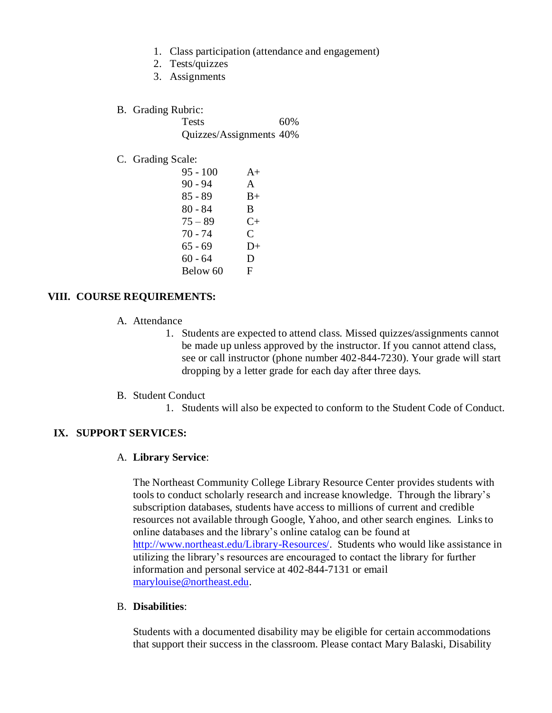- 1. Class participation (attendance and engagement)
- 2. Tests/quizzes
- 3. Assignments
- B. Grading Rubric:

Tests 60% Quizzes/Assignments 40%

### C. Grading Scale:

| $95 - 100$ | $A+$      |
|------------|-----------|
| $90 - 94$  | A         |
| $85 - 89$  | $B+$      |
| 80 - 84    | B         |
| $75 - 89$  | $C_{\pm}$ |
| 70 - 74    | C         |
| 65 - 69    | $D+$      |
| $60 - 64$  | D         |
| Below 60   | F         |

### **VIII. COURSE REQUIREMENTS:**

- A. Attendance
	- 1. Students are expected to attend class. Missed quizzes/assignments cannot be made up unless approved by the instructor. If you cannot attend class, see or call instructor (phone number 402-844-7230). Your grade will start dropping by a letter grade for each day after three days.
- B. Student Conduct
	- 1. Students will also be expected to conform to the Student Code of Conduct.

### **IX. SUPPORT SERVICES:**

#### A. **Library Service**:

The Northeast Community College Library Resource Center provides students with tools to conduct scholarly research and increase knowledge. Through the library's subscription databases, students have access to millions of current and credible resources not available through Google, Yahoo, and other search engines. Links to online databases and the library's online catalog can be found at [http://www.northeast.edu/Library-Resources/.](http://northeast.edu/LS/index/php) Students who would like assistance in utilizing the library's resources are encouraged to contact the library for further information and personal service at 402-844-7131 or email [marylouise@northeast.edu.](mailto:marylouise@northeast.edu)

#### B. **Disabilities**:

Students with a documented disability may be eligible for certain accommodations that support their success in the classroom. Please contact Mary Balaski, Disability